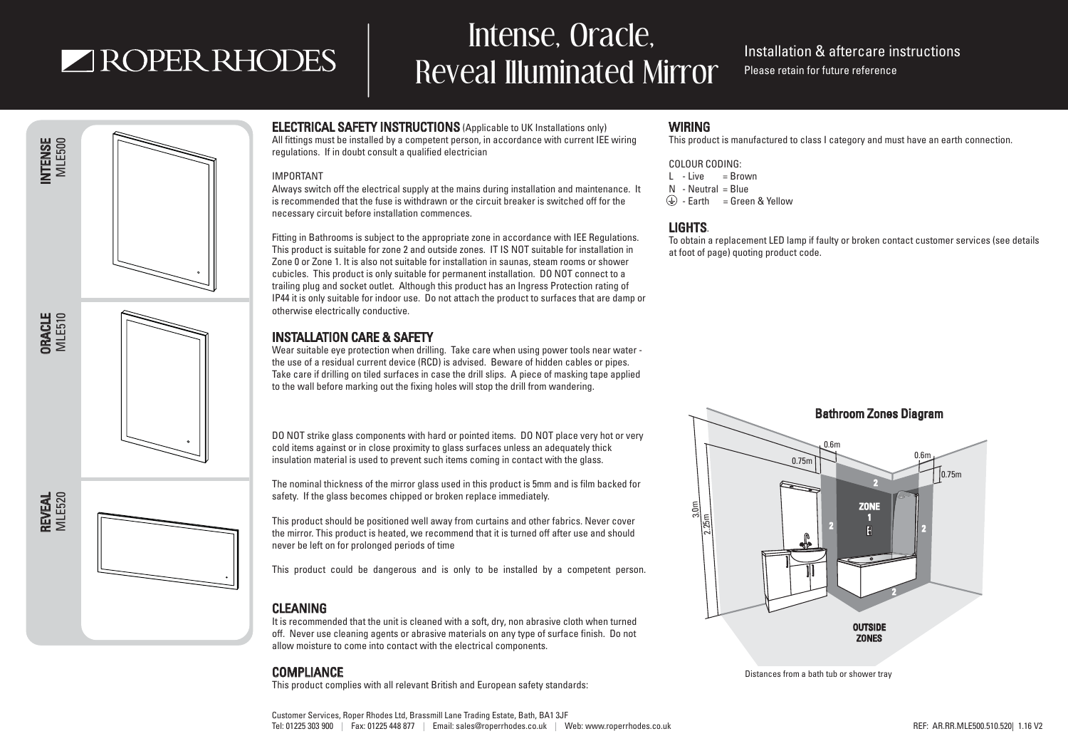# ROPER RHODES

## Intense, Oracle, Reveal Illuminated Mirror

## Installation & aftercare instructions

Please retain for future reference





**ELECTRICAL SAFETY INSTRUCTIONS** (Applicable to UK Installations only)

All fittings must be installed by a competent person, in accordance with current IEE wiring regulations. If in doubt consult a qualified electrician

### IMPORTANT

Always switch off the electrical supply at the mains during installation and maintenance. It is recommended that the fuse is withdrawn or the circuit breaker is switched off for the necessary circuit before installation commences.

Fitting in Bathrooms is subject to the appropriate zone in accordance with IEE Regulations. This product is suitable for zone 2 and outside zones. IT IS NOT suitable for installation in Zone 0 or Zone 1. It is also not suitable for installation in saunas, steam rooms or shower cubicles. This product is only suitable for permanent installation. DO NOT connect to a trailing plug and socket outlet. Although this product has an Ingress Protection rating of IP44 it is only suitable for indoor use. Do not attach the product to surfaces that are damp or otherwise electrically conductive.

## INSTALLATION CARE & SAFETY

Wear suitable eye protection when drilling. Take care when using power tools near water the use of a residual current device (RCD) is advised. Beware of hidden cables or pipes. Take care if drilling on tiled surfaces in case the drill slips. A piece of masking tape applied to the wall before marking out the fixing holes will stop the drill from wandering.

DO NOT strike glass components with hard or pointed items. DO NOT place very hot or very cold items against or in close proximity to glass surfaces unless an adequately thick insulation material is used to prevent such items coming in contact with the glass.

The nominal thickness of the mirror glass used in this product is 5mm and is film backed for safety. If the glass becomes chipped or broken replace immediately.

This product should be positioned well away from curtains and other fabrics. Never cover the mirror. This product is heated, we recommend that it is turned off after use and should never be left on for prolonged periods of time

This product could be dangerous and is only to be installed by a competent person.

## CLEANING

It is recommended that the unit is cleaned with a soft, dry, non abrasive cloth when turned off. Never use cleaning agents or abrasive materials on any type of surface finish. Do not allow moisture to come into contact with the electrical components.

## **COMPLIANCE**

This product complies with all relevant British and European safety standards:

### WIRING

This product is manufactured to class I category and must have an earth connection.

### COLOUR CODING:

 $L - Live = Brown$  $N -$  Neutral = Blue  $\bigoplus$  - Farth = Green & Yellow

### LIGHTS.

To obtain a replacement LED lamp if faulty or broken contact customer services (see details at foot of page) quoting product code.



Distances from a bath tub or shower tray

INTENSE MLE500

R**EVEAL**<br>MLE520